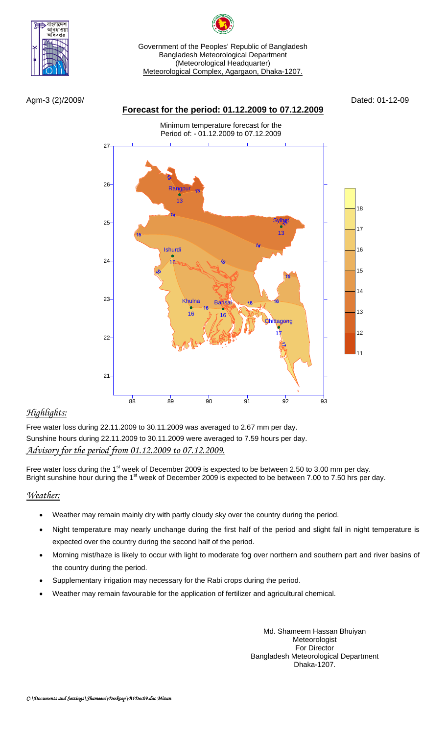

বাগলাদে বহাও

Agm-3 (2)/2009/ Dated: 01-12-09

### **Forecast for the period: 01.12.2009 to 07.12.2009**

Minimum temperature forecast for the Period of: - 01.12.2009 to 07.12.2009



# *Highlights:*

Free water loss during 22.11.2009 to 30.11.2009 was averaged to 2.67 mm per day. Sunshine hours during 22.11.2009 to 30.11.2009 were averaged to 7.59 hours per day. *Advisory for the period from 01.12.2009 to 07.12.2009.*

Free water loss during the 1<sup>st</sup> week of December 2009 is expected to be between 2.50 to 3.00 mm per day. Bright sunshine hour during the 1<sup>st</sup> week of December 2009 is expected to be between 7.00 to 7.50 hrs per day.

## *Weather:*

- Weather may remain mainly dry with partly cloudy sky over the country during the period.
- Night temperature may nearly unchange during the first half of the period and slight fall in night temperature is expected over the country during the second half of the period.
- Morning mist/haze is likely to occur with light to moderate fog over northern and southern part and river basins of the country during the period.
- Supplementary irrigation may necessary for the Rabi crops during the period.
- Weather may remain favourable for the application of fertilizer and agricultural chemical.

Md. Shameem Hassan Bhuiyan Meteorologist For Director Bangladesh Meteorological Department Dhaka-1207.